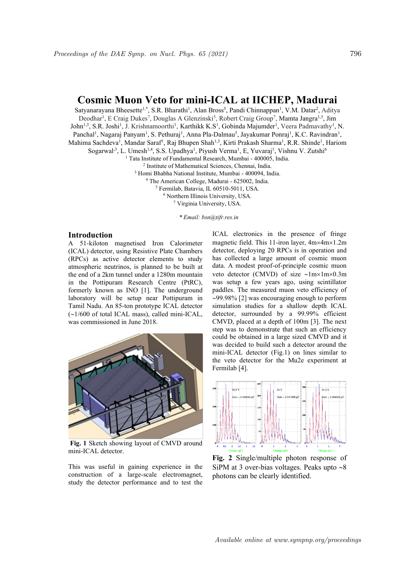## **Cosmic Muon Veto for mini-ICAL at IICHEP, Madurai**

Satyanarayana Bheesette<sup>1,\*</sup>, S.R. Bharathi<sup>1</sup>, Alan Bross<sup>5</sup>, Pandi Chinnappan<sup>1</sup>, V.M. Datar<sup>2</sup>, Aditya Deodhar<sup>1</sup>, E Craig Dukes<sup>7</sup>, Douglas A Glenzinski<sup>5</sup>, Robert Craig Group<sup>7</sup>, Mamta Jangra<sup>1,3</sup>, Jim John<sup>1,3</sup>, S.R. Joshi<sup>1</sup>, J. Krishnamoorthi<sup>1</sup>, Karthikk K.S<sup>1</sup>, Gobinda Majumder<sup>1</sup>, Veera Padmavathy<sup>1</sup>, N. Panchal<sup>1</sup>, Nagaraj Panyam<sup>1</sup>, S. Pethuraj<sup>1</sup>, Anna Pla-Dalmau<sup>5</sup>, Jayakumar Ponraj<sup>1</sup>, K.C. Ravindran<sup>1</sup>, Mahima Sachdeva<sup>1</sup>, Mandar Saraf<sup>1</sup>, Raj Bhupen Shah<sup>1,3</sup>, Kirti Prakash Sharma<sup>1</sup>, R.R. Shinde<sup>1</sup>, Hariom

Sogarwal<sup>,3</sup>, L. Umesh<sup>1,4</sup>, S.S. Upadhya<sup>1</sup>, Piyush Verma<sup>1</sup>, E, Yuvaraj<sup>1</sup>, Vishnu V. Zutshi<sup>6</sup>

<sup>1</sup> Tata Institute of Fundamental Research, Mumbai - 400005, India.

2 Institute of Mathematical Sciences, Chennai, India.

<sup>3</sup> Homi Bhabha National Institute, Mumbai - 400094, India.

<sup>4</sup> The American College, Madurai - 625002, India.

<sup>5</sup> Fermilab, Batavia, IL 60510-5011, USA.

<sup>6</sup> Northern Illinois University, USA.

<sup>7</sup> Virginia University, USA.

*. \* Email: bsn@tifr.res.in*

## **Introduction**

A 51-kiloton magnetised Iron Calorimeter (ICAL) detector, using Resistive Plate Chambers (RPCs) as active detector elements to study atmospheric neutrinos, is planned to be built at the end of a 2km tunnel under a 1280m mountain in the Pottipuram Research Centre (PtRC), formerly known as INO [1]. The underground laboratory will be setup near Pottipuram in Tamil Nadu. An 85-ton prototype ICAL detector  $(\sim1/600$  of total ICAL mass), called mini-ICAL, was commissioned in June 2018.



**Fig. 1** Sketch showing layout of CMVD around mini-ICAL detector.

This was useful in gaining experience in the construction of a large-scale electromagnet, study the detector performance and to test the ICAL electronics in the presence of fringe magnetic field. This 11-iron layer,  $4m \times 4m \times 1.2m$ detector, deploying 20 RPCs is in operation and has collected a large amount of cosmic muon data. A modest proof-of-principle cosmic muon veto detector (CMVD) of size  $\sim$ 1m×1m×0.3m was setup a few years ago, using scintillator paddles. The measured muon veto efficiency of  $\sim$ 99.98% [2] was encouraging enough to perform simulation studies for a shallow depth ICAL detector, surrounded by a 99.99% efficient CMVD, placed at a depth of 100m [3]. The next step was to demonstrate that such an efficiency could be obtained in a large sized CMVD and it was decided to build such a detector around the mini-ICAL detector (Fig.1) on lines similar to the veto detector for the Mu2e experiment at Fermilab [4].



**Fig. 2** Single/multiple photon response of SiPM at 3 over-bias voltages. Peaks upto  $\sim 8$ photons can be clearly identified.

Available online at www.sympnp.org/proceedings